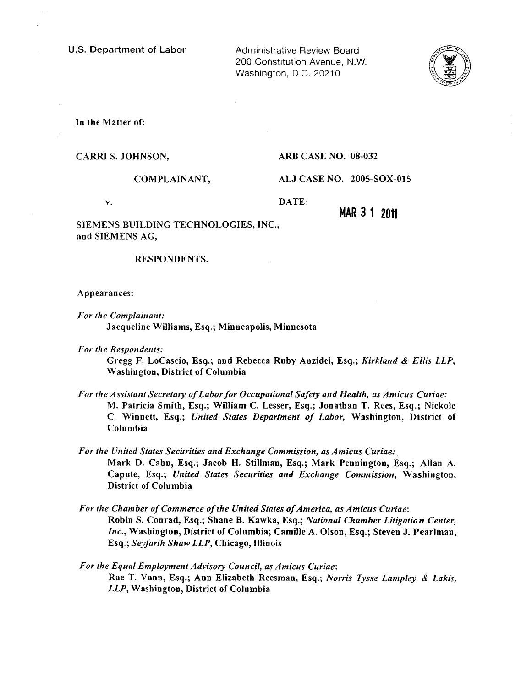U.S. Department of Labor Administrative Review Board

200 Constitution Avenue, N.W. Washington, D.C. 20210



In the Matter of:

CARRI S. JOHNSON, ARB CASE NO. 08-032

COMPLAINANT, ALJ CASE NO. 200S-S0X-OIS

v. DATE:

**MAR 3 1 2011** 

SIEMENS BUILDING TECHNOLOGIES, INC., and SIEMENS AG,

### RESPONDENTS.

Appearances:

- For the Complainant: Jacqueline Wiliams, Esq.; Minneapolis, Minnesota
- For the Respondents:

Gregg F. LoCascio, Esq.; and Rebecca Ruby Anzidei, Esq.; Kirkland & Ellis LLP, Washington, District of Columbia

- For the Assistant Secretary of Labor for Occupational Safety and Health, as Amicus Curiae: M. Patricia Smith, Esq.; Wiliam C. Lesser, Esq.; Jonathan T. Rees, Esq.; Nickole C. Winnett, Esq.; United States Department of Labor, Washington, District of Columbia
- For the United States Securities and Exchange Commission, as Amicus Curiae:. Mark D. Cahn, Esq.; Jacob H. StiUman, Esq.; Mark Pennington, Esq.; AUan A, Capute, Esq.; United States Securities and Exchange Commission, Washington, District of Columbia
- For the Chamber of Commerce of the United States of America, as Amicus Curiae: Robin S. Conrad, Esq.; Shane B. Kawka, Esq.; National Chamber Litgation Center, Inc., Washington, District of Columbia; Camile A. Olson, Esq.; Steven J. Pearlman, Esq.; Seyfarth Shaw LLP, Chicago, IIinois
- For the Equal Employment Advisory Council, as Amicus Curiae: Rae T. Vann, Esq.; Ann Elizabeth Reesman, Esq.; Norris Tysse Lampley & Lakis, LLP, Washington, District of Columbia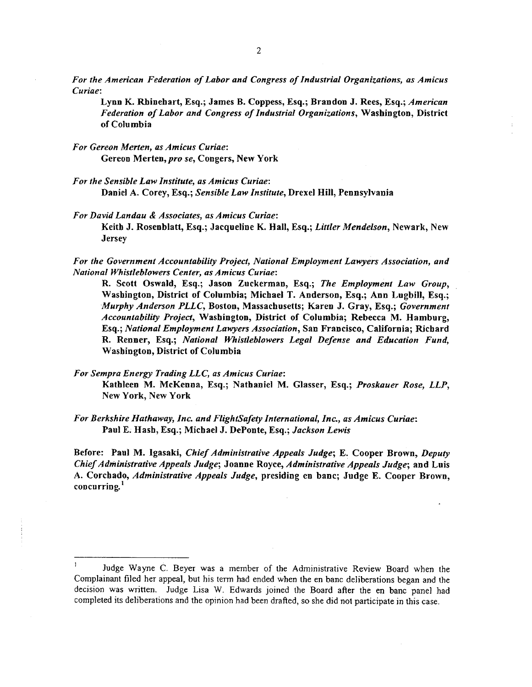For the American Federation of Labor and Congress of Industrial Organizations, as Amicus Curiae:

Lynn K. Rhinehart, Esq.; James B. Coppess, Esq.; Brandon J. Rees, Esq.; American Federation of Labor and Congress of Industrial Organizations, Washington, District of Columbia

- For Gereon Merten, as Amicus Curiae: Gereon Merten, pro se, Congers, New York
- For the Sensible Law Institute, as Amicus Curiae: Daniel A. Corey, Esq.; Sensible Law Institute, Drexel Hill, Pennsylvania
- For David Landau & Associates, as Amicus Curiae: Keith J. Rosenblatt, Esq.; Jacqueline K. Hall, Esq.; Littler Mendelson, Newark, New **Jersey**

For the Government Accountabilty Project, National Employment Lawyers Association, and National Whistleblowers Center, as Amicus Curiae:

R. Scott Oswald, Esq.; Jason Zuckerman, Esq.; The Employment Law Group, Washington, District of Columbia; Michael T. Anderson, Esq.; Ann LugbiJ, Esq.; Murphy Anderson PLLC, Boston, Massachusetts; Karen J. Gray, Esq.; Government Accountability Project, Washington, District of Columbia; Rebecca M. Hamburg, Esq.; National Employment Lawyers Association, San Francisco, California; Richard R. Renner, Esq.; National Whistleblowers Legal Defense and Education Fund, Washington, District of Columbia

For Sempra Energy Trading LLC, as Amicus Curiae:

Kathleen M. McKenoa, Esq.; Nathaniel M. Glasser, Esq.; Proskauer Rose, LLP, New York, New York

For Berkshire Hathaway, Inc. and FlightSafety International, Inc., as Amicus Curiae: Paul E. Hash, Esq.; Michael J. DePonte, Esq.; Jackson Lewis

Before: Paul M. Igasaki, Chief Administrative Appeals Judge; E. Cooper Brown, Deputy Chief Administrative Appeals Judge; Joanne Royce, Administrative Appeals Judge; and Luis A. Corchado, Administrative Appeals Judge, presiding en banc; Judge E. Cooper Brown, concurring.<sup>1</sup>

Judge Wayne C. Beyer was a member of the Administrative Review Board when the Complainant filed her appeal, but his term had ended when the en banc deliberations began and the decision was written. Judge Lisa W. Edwards joined the Board after the en banc panel had completed its deliberations and the opinion had been drafted, so she did not participate in this case.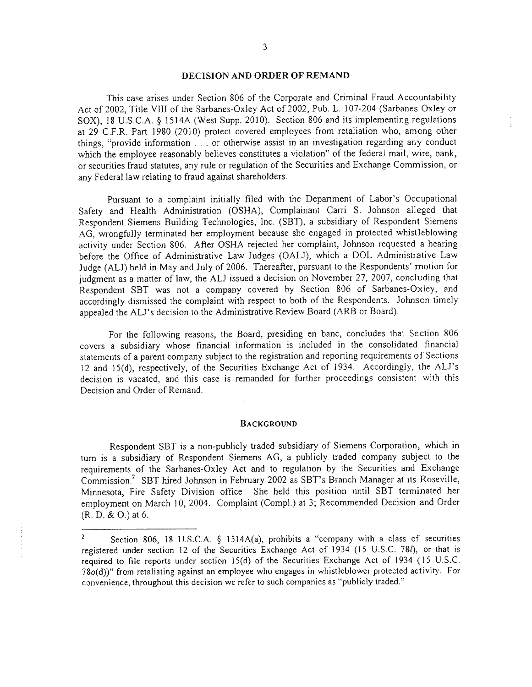# DECISION AND ORDER OF REMAND

This case arises under Section 806 of the Corporate and Criminal Fraud Accountability Act of 2002, Title YIL of the Sarbanes-Oxley Act of 2002, Pub. L. 107-204 (Sarbanes Oxley or SOX), 18 U.S.C.A. § 1514A (West Supp. 2010). Section 806 and its implementing regulations at 29 C.F.R. Part 1980 (2010) protect covered employees from retaliation who, among other things, "provide information. . . or otherwise assist in an investigation regarding any conduct which the employee reasonably believes constitutes a violation" of the federal mail, wire, bank, or securities fraud statutes, any rule or regulation of the Securities and Exchange Commission, or any Federal law relating to fraud against shareholders.

Pursuant to a complaint initially filed with the Department of Labor's Occupational Safety and Health Administration (OSHA), Complainant Carri S. Johnson alleged that Respondent Siemens Building Technologies, Inc. (SBT), a subsidiary of Respondent Siemens AG, wrongfully terminated her employment because she engaged in protected whistleblowing activity under Section 806. After OSHA rejected her complaint, Johnson requested a hearing before the Office of Administrative Law Judges (OALJ), which a DOL Administrative Law Judge (AU) held in May and July of 2006. Thereafter, pursuant to the Respondents' motion for judgment as a matter of law, the ALJ issued a decision on November 27, 2007, concluding that Respondent SBT was not a company covered by Section 806 of Sarbanes-Oxley, and accordingly dismissed the complaint with respect to both of the Respondents. Johnson timely appealed the AU's decision to the Administrative Review Board (ARB or Board).

For the following reasons, the Board, presiding en bane, concludes that Section 806 covers a subsidiary whose financial information is included in the consolidated financial statements of a parent company subject to the registration and reporting requirements of Sections 12 and 1S(d), respectively, of the Securities Exchange Act of 1934. Accordingly, the AU's decision is vacated, and this case is remanded for further proceedings consistent with this Decision and Order of Remand.

#### BACKGROUND

Respondent SBT is a non-publicly traded subsidiary of Siemens Corporation, which in tum is a subsidiary of Respondent Siemens AG, a publicly traded company subject to the requirements of the Sarbanes-Oxley Act and to regulation by the Securities and Exchange Commission.2 SBT hired Johnson in February 2002 as SST's Branch Manager at its Roseville, Minnesota, Fire Safety Division office She held this position until SBT terminated her employment on March 10, 2004. Complaint (Compl.) at 3; Recommended Decision and Order (R. D. & 0.) at 6.

 $\overline{c}$ Section 806, 18 U.S.C.A. § IS14A(a), prohibits a "company with a class of securities registered under section 12 of the Securities Exchange Act of 1934 (15 U.S.C. 781), or that is required to file reports under section 15(d) of the Securities Exchange Act of 1934 (15 U.S.C. 78o(d))" from retaliating against an employee who engages in whistleblower protected activity. For convenience, throughout this decision we refer to such companies as "publicly traded."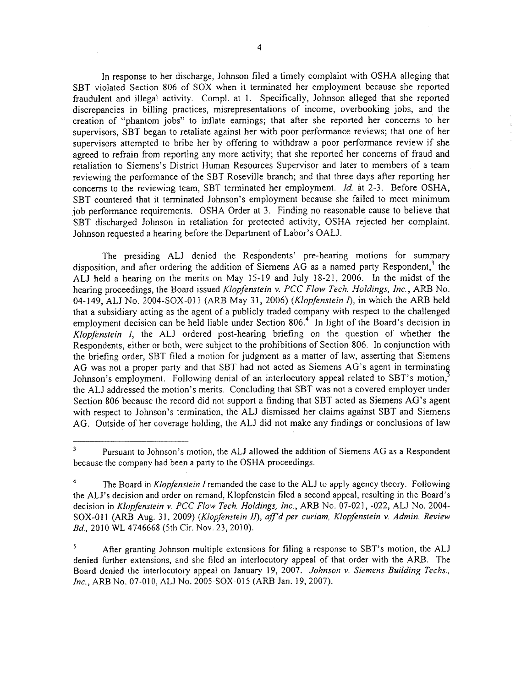In response to her discharge, Johnson filed a timely complaint with OSHA alleging that SBT violated Section 806 of SOX when it terminated her employment because she reported fraudulent and illegal activity. Compl. at 1. Specifically, Johnson alleged that she reported discrepancies in billing practices, misrepresentations of income, overbooking jobs, and the creation of "phantom jobs" to inflate earnings; that after she reported her concerns to her supervisors, SBT began to retaliate against her with poor perfonnance reviews; that one of her supervisors attempted to bribe her by offering to withdraw a poor performance review if she agreed to refrain from reporting any more activity; that she reported her concerns of fraud and retaliation to Siemens's District Human Resources Supervisor and later to members of a team reviewing the performance of the SBT Roseville branch; and that three days after reporting her

concerns to the reviewing team, SBT terminated her employment.  $Id$  at 2-3. Before OSHA, SBT countered that it terminated Johnson's employment because she failed to meet minimum job performance requirements. OSHA Order at 3. Finding no reasonable cause to believe that SBT discharged Johnson in retaliation for protected activity, OSHA rejected her complaint. Johnson requested a hearing before the Department of Labor's OALJ.

The presiding AU denied the Respondents' pre-hearing motions for summary disposition, and after ordering the addition of Siemens  $AG$  as a named party Respondent,<sup>3</sup> the AU held a hearing on the merits on May 15-19 and July 18-21, 2006. In the midst of the hearing proceedings, the Board issued Klopfenstein v. PCC Flow Tech. Holdings, Inc., ARB No. 04-149, ALJ No. 2004-SOX-011 (ARB May 31, 2006) (Klopfenstein I), in which the ARB held that a subsidiary acting as the agent of a publicly traded company with respect to the challenged employment decision can be held liable under Section 806.<sup>4</sup> In light of the Board's decision in Klopfenstein I, the AU ordered post-hearing briefing on the question of whether the Respondents, either or both, were subject to the prohibitions of Section 806. In conjunction with the briefing order, SBT filed a motion for judgment as a matter of law, asserting that Siemens AG was not a proper party and that SBT had not acted as Siemens AG's agent in terminating Johnson's employment. Following denial of an interlocutory appeal related to SBT's motion,<sup>5</sup> the AU addressed the motion's merits. Concluding that SBT was not a covered employer under Section 806 because the record did not support a finding that SBT acted as Siemens AG's agent with respect to Johnson's termination, the AU dismissed her claims against SBT and Siemens AG. Outside of her coverage holding, the AU did not make any findings or conclusions of law

<sup>3</sup> Pursuant to Johnson's motion, the AU allowed the addition of Siemens AG as a Respondent because the company had been a party to the OSHA proceedings.

 $\overline{\mathbf{4}}$ The Board in Klopfenstein I remanded the case to the ALJ to apply agency theory. Following the AU's decision and order on remand, Klopfenstein filed a second appeal, resulting in the Board's decision in Klopfenstein v. PCC Flow Tech. Holdings, Inc., ARB No. 07-021, -022, ALJ No. 2004-SOX-011 (ARB Aug. 31, 2009) (Klopfenstein II), aff'd per curiam, Klopfenstein v. Admin. Review Bd., 2010 WL 4746668 (5th Cir. Nov. 23, 2010).

<sup>5</sup> After granting Johnson multiple extensions for filing a response to SBT's motion, the AU denied further extensions, and she filed an interlocutory appeal of that order with the ARB. The Board denied the interlocutory appeal on January 19, 2007. Johnson v. Siemens Building Techs., Inc., ARB No. 07-010, ALJ No. 2005-SOX-015 (ARB Jan. 19, 2007).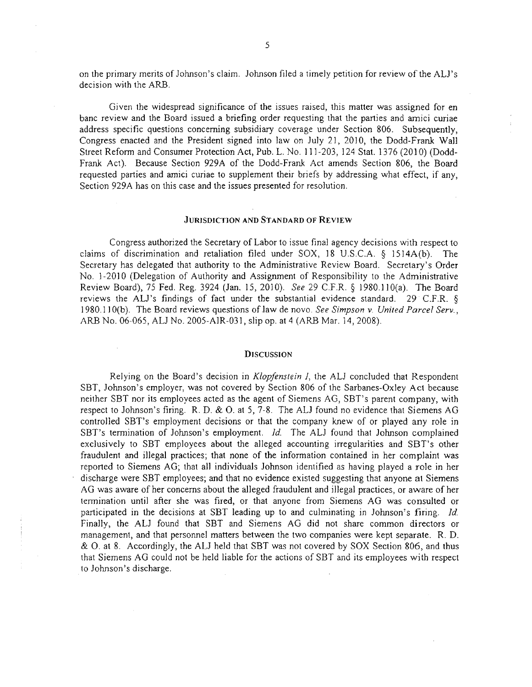on the primary merits of Johnson's claim. Johnson filed a timely petition for review of the AU's decision with the ARB.

Given the widespread significance of the issues raised, this matter was assigned for en banc review and the Board issued a briefing order requesting that the parties and amici curiae address specific questions concerning subsidiary coverage under Section 806. Subsequently, Congress enacted and the President signed into law on July 21, 2010, the Dodd-Frank Wall Street Reform and Consumer Protection Act, Pub. L. No. 111-203, 124 Stat. 1376 (2010) (Dodd-Frank Act). Because Section 929A of the Dodd-Frank Act amends Section 806, the Board requested parties and amici curiae to supplement their briefs by addressing what effect, if any, Section 929A has on this case and the issues presented for resolution.

# JURlSDlCTJON AND STANDARD OF REVIEW

Congress authorized the Secretary of Labor to issue final agency decisions with respect to claims of discrimination and retaliation filed under SOX, 18 U .S.c.A. § 1514A(b). The Secretary has delegated that authority to the Administrative Review Board. Secretary's Order No. 1-2010 (Delegation of Authority and Assignment of Responsibility to the Administrative Review Board), 75 Fed. Reg. 3924 (Jan. i 5, 2010). See 29 C.F.R. § i 980. I 10(a). The Board reviews the AU's findings of fact under the substantial evidence standard. 29 C.F.R. § 1980. 110(b). The Board reviews questions of law de novo. See Simpson v. United Parcel Serv., ARB No. 06-065, AU No. 2005-A1R-03 i, slip op. at 4 (ARB Mar. 14,2008).

#### **DISCUSSION**

Relying on the Board's decision in Klopfenstein I, the ALJ concluded that Respondent SBT, Johnson's employer, was not covered by Section 806 of the Sarbanes-Oxley Act because neither SBT nor its employees acted as the agent of Siemens AG, SBT's parent company, with respect to Johnson's firing. R. D. & O. at 5, 7-8. The AU found no evidence that Siemens AG controlled SBT's employment decisions or that the company knew of or played any role in SBT's termination of Johnson's employment. *Id.* The ALJ found that Johnson complained exclusively to SBT employees about the alleged accounting irregularities and SST's other fraudulent and illegal practices; that none of the information contained in her complaint was reported to Siemens AG; that all individuals Johnson identified as having played a role in her discharge were SBT employees; and that no evidence existed suggesting that anyone at Siemens AG was aware of her concerns about the alleged fraudulent and illegal practices, or aware of her tennination until after she was fired, or that anyone from Siemens AG was consulted or participated in the decisions at SBT leading up to and culminating in Johnson's firing. Id. Finally, the AU found that SBT and Siemens AG did not share common directors or management, and that personnel matters between the two companies were kept separate. R. D. & O. at 8. Accordingly, the AU held that SBT was not covered by SOX Section 806, and thus that Siemens AG could not be held liable for the actions of SBT and its employees with respect to Johnson's discharge.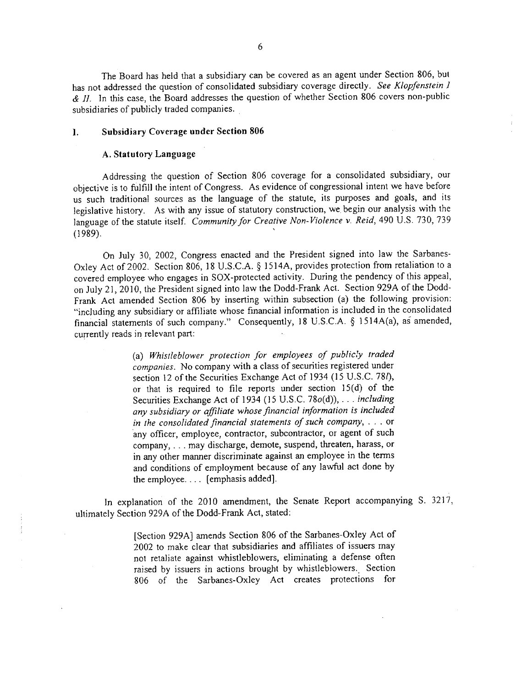The Board has held that a subsidiary can be covered as an agent under Section 806, but has not addressed the question of consolidated subsidiary coverage directly. See Klopfenstein I  $\&$  II. In this case, the Board addresses the question of whether Section 806 covers non-public subsidiaries of publicly traded companies.

# I. Subsidiary Coverage under Section 806

## A. Statutory Language

Addressing the question of Section 806 coverage for a consolidated subsidiary, our objective is to fulfill the intent of Congress. As evidence of congressional intent we have before us such traditional sources as the language of the statute, its purposes and goals, and its legislative history. As with any issue of statutory construction, we, begin our analysis with the us such traditional sources as the language of the statute, its purposes and goals, and its<br>legislative history. As with any issue of statutory construction, we begin our analysis with the<br>language of the statute itself.

On July 30, 2002, Congress enacted and the President signed into law the Sarbanes-Oxley Act of 2002. Section 806, 18 U.S.C.A. § 1514A, provides protection from retaliation to a covered employee who engages in SOX-protected activity. During the pendency of this appeal, on July 21, 2010, the President signed into law the Dodd-Frank Act. Section 929A of the Dodd-Frank Act amended Section 806 by inserting within subsection (a) the following provision: "including any subsidiary or affliate whose financial information is included in the consolidated financial statements of such company." Consequently, 18 U.S.C.A. § 1514A(a), as amended, currently reads in relevant part:

> (a) Whistleblower protection for employees of publicly traded companies. No company with a çlass of securities registered under section 12 of the Securities Exchange Act of 1934 (15 U.S.C. 781), or that is required to file reports under section 15(d) of the Securities Exchange Act of 1934 (15 U.S.C. 78o(d)), . . . *including* any subsidiary or affiliate whose financial information is included in the consolidated financial statements oj such company, . . . or 'any officer, employee, contractor, subcontractor, or agent of such company, . . . may discharge, demote, suspend, threaten, harass, or in any other maner discriminate against an employee in the terms and conditions of employment because of any lawful act done by the employee. . .. (emphasis added).

In explanation of the 2010 amendment, the Senate Report accompanying S. 3217, ultimately Section 929A of the Dodd-Frank Act, stated:

> (Section 929A) amends Section 806 of the Sarbanes-Oxley Act of 2002 to make clear that subsidiaries and affiiates of issuers may not retaliate against whistleblowers, eliminating a defense often raised by issuers in actions brought by whistleblowers.. Section 806 of the Sarbanes-Oxley Act creates protections for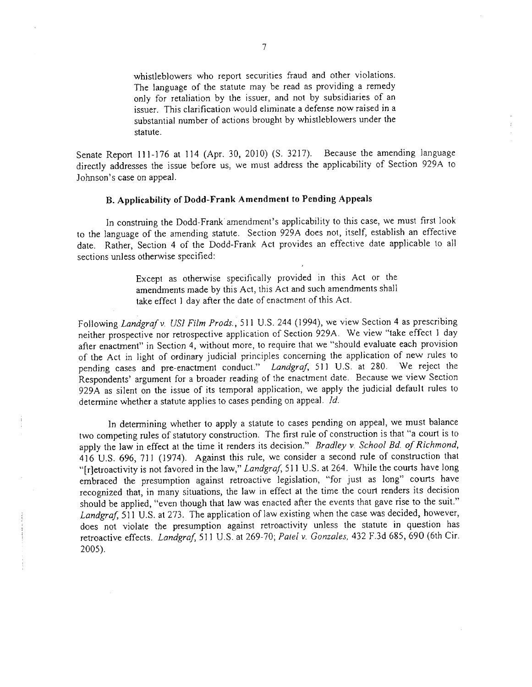whistleblowers who report securities fraud and other violations. The language of the statute may be read as providing a remedy only for retaliation by the issuer, and not by subsidiaries of an issuer. This clarification would eliminate a defense now raised in a substantial number of actions brought by whistleblowers under the statute.

Senate Report 111-176 at 114 (Apr. 30, 2010) (S. 3217). directly addresses the issue before us, we must address the applicability of Section 929A to Johnson's case on appeaL. Because the amending language

# B. Applicability of Dodd-Frank Amendment to Pending Appeals

In construing the Dodd-Frank amendment's applicability to this case, we must first look to the language of the amending statute. Section 929A does not, itself, establish an effective date. Rather, Section 4 of the Dodd-Frank Act provides an effective date applicable to all sections unless otherwise specified:

> Except as otherwise specifically provided in this Act or the amendments made by this Act, this Act and such amendments shal1 take effect 1 day after the date of enactment of this Act.

Following Landgraf v. USI Film Prods., 511 U.S. 244 (1994), we view Section 4 as prescribing neither prospective nor retrospective application of Section 929A. We view "take effect I day after enactment" in Section 4, without more, to require that we "should evaluate each provision of the Act in light of ordinary judicial principles concerning the application of new rules to pending cases and pre-enactment conduct." Landgraf, 511 U.S. at 280. We reject the Respondents' argument for a broader reading of the enactment date. Because we view Section 929A as silent on the issue of its temporal application, we apply the judicial default rules to determine whether a statute applies to cases pending on appeal.  $\overline{\mathcal{U}}$ .

In determining whether to apply a statute to cases pending on appeal, we must balance two competing rules of statutory construction. The first rule of construction is that "a court is to apply the law in effect at the time it renders its decision." Bradley v. School Bd. of Richmond, 416 U.S. 696, 711 (1974). Against this rule, we consider a second rule of construction that "[r]etroactivity is not favored in the law," Landgraf, 511 U.S. at 264. While the courts have long embraced the presumption against retroactive legislation, "for just as long" courts have recognized that, in many situations, the law in effect at the time the court renders its decision should be applied, "even though that law was enacted after the events that gave rise to the suit." Landgraf, 511 U.S. at 273. The application of law existing when the case was decided, however, does not violate the presumption against retroactivity unless the statute in question has retroactive effects. Landgraf, 511 U.S. at 269-70; Patel v. Gonzales, 432 F.3d 685, 690 (6th Cir. 2005).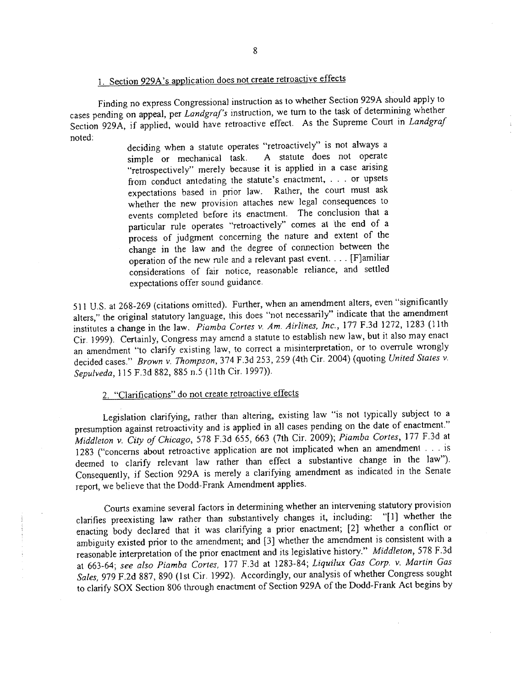# 1. Section 929A's application does not create retroactive effects

Finding no express Congressional instruction as to whether Section 929A should apply to cases pending on appeal, per Landgraf's instruction, we turn to the task of determining whether Section 929A, if applied, would have retroactive effect. As the Supreme Court in Landgraf noted:

deciding when a statute operates "retroactively" is not always a simple or mechanical task. A statute does not operate simple or mechanical task. A statute does not operate "retrospectively" merely because it is applied in a case arsing from conduct antedating the statute's enactment, . . . or upsets expectations based in prior law. Rather, the court must ask whether the new provision attaches new legal consequences to events completed before its enactment. The conclusion that a particular rule operates "retroactively" comes at the end of a process of judgment concerning the nature and extent of the change in the law and the degree of connection between the operation of the new rule and a relevant past event. . . . (F)amiliar considerations of fair notice, reasonable reliance, and settled expectations offer sound guidance.

511 U.S. at 268-269 (citations omitted). Further, when an amendment alters, even "significantly alters," the original statutory language, this does "not necessarly" indicate that the amendment institutes a change in the law. Piamba Cortes v. Am. Airlines, Inc., 177 F.3d 1272, 1283 (11th Cir. 1999). Certainly, Congress may amend a statute to establish new law, but it also may enact an amendment "to clarify existing law, to correct a misinterpretation, or to overrule wrongly decided cases." Brown v. Thompson, 374 F.3d 253, 259 (4th Cir. 2004) (quoting United States v. Sepulveda, 115 F.3d 882, 885 n.5 (11th Cir. 1997)).

# 2. "Clarifications" do not create retroactive effects

Legislation clarifying, rather than altering, existing law "is not typically subject to a presumption against retroactivity and is applied in all cases pending on the date of enactment." Middleton v. City of Chicago, 578 F.3d 655, 663 (7th Cir. 2009); Piamba Cortes, 177 F.3d at 1283 ("concerns about retroactive application are not implicated when an amendment . . . is deemed to clarfy relevant law rather than effect a substantive change in the law"). Consequently, if Section 929A is merely a clarifying amendment as indicated in the Senate report, we believe that the Dodd-Frank Amendment applies.

Courts examine several factors in determining whether an intervening statutory provision<br>s preexisting law rather than substantively changes it, including: "[1] whether the clarifies preexisting law rather than substantively changes it, including: enacting body declared that it was clarifying a prior enactment; (2) whether a conflict or ambiguity existed prior to the amendment; and (3) whether the amendment is consistent with a reasonable interpretation of the prior enactment and its legislative history." Middleton, 578 F.3d at 663-64; see also Piamba Cortes, 177 F.3d at 1283-84; Liquilux Gas Corp. v. Martin Gas Sales, 979 F.2d 887, 890 (1st Cir. 1992). Accordingly, our analysis of whether Congress sought to clarify SOX Section 806 through enactment of Section 929A of the Dodd-Frank Act begins by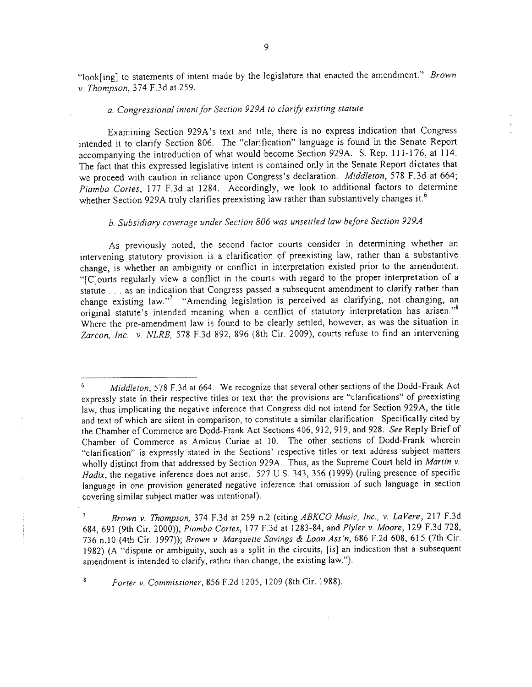"look[ing] to statements of intent made by the legislature that enacted the amendment." Brown v. Thompson, 374 F.3d at 259.

# a. Congressional intent for Section 929A to clarify existing statute

Examining Section 929A's text and title, there is no express indication that Congress intended it to clarify Section 806. The "clarification" language is found in the Senate Report accompanying the introduction of what would become Section 929A. S. Rep. 111-176, at 114. The fact that this expressed legislative intent is contained only in the Senate Report dictates that we proceed with caution in reliance upon Congress's declaration. Middleton, S78 F.3d at 664; Piamba Cortes, 177 F.3d at 1284. Accordingly, we look to additional factors to determine whether Section 929A truly clarifies preexisting law rather than substantively changes it.<sup>6</sup>

# b. Subsidiary coverage under Section 806 was unsettled law before Section 929A

As previously noted, the second factor courts consider in determining whether an intervening statutory provision is a clarification of preexisting law, rather than a substantive change, is whether an ambiguity or conflict in interpretation existed prior to the amendment. "[C]ourts regularly view a conflict in the courts with regard to the proper interpretation of a statute. . . as an indication that Congress passed a subsequent amendment to clarify rather than change existing law."? "Amending legislation is perceived as clarifying, not changing, an original statute's intended meaning when a conflict of statutory interpretation has arisen."<sup>8</sup> Where the pre-amendment law is found to be clearly settled, however, as was the situation in Zarcon, Inc. v. NLRB, 578 F.3d 892, 896 (8th Cir. 2009), courts refuse to find an intervening

 $\gamma$ Brown v. Thompson, 374 F.3d at 259 n.2 (citing ABKCO Music, Inc., v. LaVere, 217 F.3d 684,691 (9th Cir. 2000)), Piamba Cortes, 177 F.3d at 1283-84, and Plyler v. Moore, 129 F.3d 728, 736 n.IO (4th Cir. 1997)); Brown v. Marquette Savings & Loan Ass'n, 686 F.2d 608,615 (7th Cir. 1982) (A "dispute or ambiguity, such as a split in the circuits, (is) an indication that a subsequent amendment is intended to clarify, rather than change, the existing law.").

Parier v. Commissioner, 856 F.2d 1205, i 209 (8th Cir. 1988).

8

 $6$  Middleton, 578 F.3d at 664. We recognize that several other sections of the Dodd-Frank Act expressly state in their respective titles or text that the provisions are "clarifications" of preexisting law, thus implicating the negative inference that Congress did not intend for Section 929A, the title and text of which are silent in comparison, to constitute a similar clarification. Specifically cited by the Chamber of Commerce are Dodd-Frank Act Sections 406, 912, 919, and 928. See Reply Brief of Chamber of Commerce as Amicus Curiae at 10. The other sections of Dodd-Frank wherein "clarification" is expressly stated in the Sections' respective titles or text address subject matters wholly distinct from that addressed by Section 929A. Thus, as the Supreme Court held in Martin v. Hadix, the negative inference does not arise. 527 U.S. 343, 356 (1999) (ruling presence of specific language in one provision generated negative inference that omission of such language in section covering similar subject matter was intentional).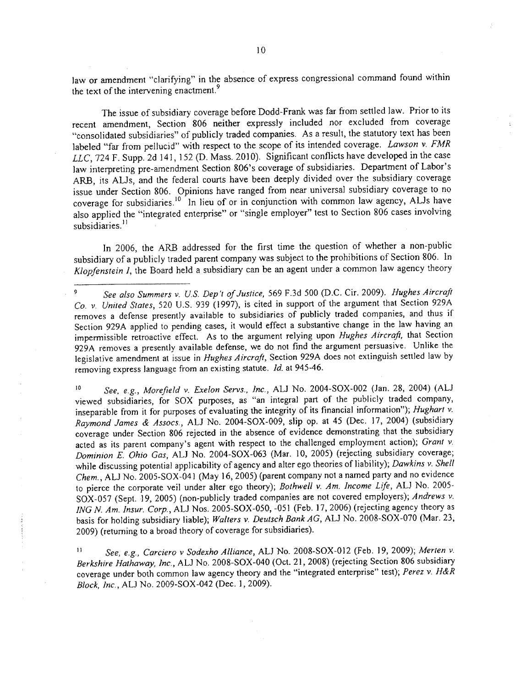law or amendment "clarifying" in the absence of express congressional command found within the text of the intervening enactment.<sup>9</sup>

The issue of subsidiary coverage before Dodd-Frank was far from settled law. Prior to its recent amendment, Section 806 neither expressly included nor excluded from coverage "consolidated subsidiaries" of publicly traded companies. As a result, the statutory text has been labeled "far from pellucid" with respect to the scope of its intended coverage. Lawson v. FMR LLC, 724 F. Supp. 2d 141, 152 (D. Mass. 2010). Significant conflicts have developed in the case law interpreting pre-amendment Section 806's coverage of subsidiaries. Deparment of Labor's ARB, its AUs, and the federal courts have been deeply divided over the subsidiary coverage issue under Section 806. Opinions have ranged from near universal subsidiary coverage to no coverage for subsidiaries.<sup>10</sup> In lieu of or in conjunction with common law agency, ALJs have also applied the "integrated enterprise" or "single employer" test to Section 806 cases involving subsidiaries.<sup>11</sup>

In 2006, the ARB addressed for the first time the question of whether a non-public subsidiary of a publicly traded parent company was subject to the prohibitions of Section 806. In Klopfenstein I, the Board held a subsidiary can be an agent under a common law agency theory

See, e.g., Morefield v. Exelon Servs., Inc., ALJ No. 2004-SOX-002 (Jan. 28, 2004) (ALJ viewed subsidiaries, for SOX purposes, as "an integral part of the publicly traded company, inseparable from it for purposes of evaluating the integrity of its financial information"); Hughart v. Raymond James & Assocs., AU No. 2004-S0X-009, slip op. at 45 (Dec. 17,2004) (subsidiary coverage under Section 806 rejected in the absence of evidence demonstrating that the subsidiary acted as its parent company's agent with respect to the challenged employment action); Grant v. Dominion E. Ohio Gas, AU No. 2004-S0X-063 (Mar. 10, 2005) (rejecting subsidiary coverage; while discussing potential applicability of agency and alter ego theories of liability); Dawkins v. Shell Chem., ALJ No. 2005-SOX-041 (May 16, 2005) (parent company not a named party and no evidence to pierce the corporate veil under alter ego theory); Bothwell v. Am. Income Life, ALJ No. 2005-SOX-057 (Sept. 19, 2005) (non-publicly traded companies are not covered employers); Andrews v. ING N. Am. Insur. Corp., AU Nos. 2005-S0X-050, -051 (Feb. 17,2006) (rejecting agency theory as basis for holding subsidiary liable); Walters v. Deutsch Bank AG, ALJ No. 2008-SOX-070 (Mar. 23, 2009) (returning to a broad theory of coverage for subsidiaries). 10

See, e.g., Carciero v Sodexho Alliance, ALJ No. 2008-SOX-012 (Feb. 19, 2009); Merten v. Berkshire Hathaway, Inc., AU No. 2008-S0X-040 (Oct. 21,2008) (rejecting Section 806 subsidiary coverage under both common law agency theory and the "integrated enterprise" test); Perez v. H&R Block, Inc., ALJ No. 2009-SOX-042 (Dec. 1, 2009). II

 $\frac{1}{2}$  and  $\frac{1}{2}$ 

<sup>9</sup> See also Summers v. U.S. Dep't of Justice, 569 F.3d 500 (D.C. Cir. 2009). Hughes Aircraft Co. v. United States, 520 U.S. 939 (1997), is cited in support of the argument that Section 929A removes a defense presently available to subsidiaries of publicly traded companies, and thus if Section 929A applied to pending cases, it would effect a substantive change in the law having an impermissible retroactive effect. As to the argument relying upon Hughes Aircraft, that Section 929A removes a presently available defense, we do not find the argument persuasive. Unlike the legislative amendment at issue in Hughes Aircraft, Section 929A does not extinguish settled law by removing express language from an existing statute. Id. at 945-46.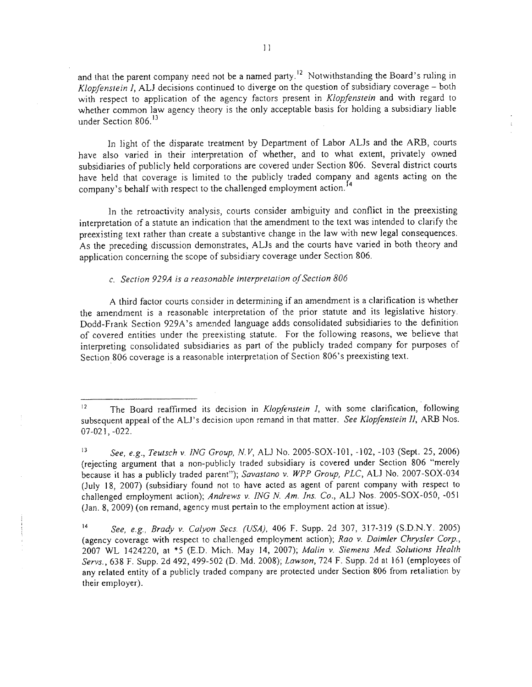and that the parent company need not be a named party.<sup>12</sup> Notwithstanding the Board's ruling in Klopfenstein 1, AU decisions continued to diverge on the question of subsidiary coverage - both with respect to application of the agency factors present in Klopfenstein and with regard to whether common law agency theory is the only acceptable basis for holding a subsidiary liable under Section 806.<sup>13</sup>

In light of the disparate treatment by Department of Labor AUs and the ARB, courts have also varied in their interpretation of whether, and to what extent, privately owned subsidiaries of publicly held corporations are covered under Section 806. Several district courts have held that coverage is limited to the publicly traded company and agents acting on the company's behalf with respect to the challenged employment action.<sup>14</sup>

In the retroactivity analysis, courts consider ambiguity and conflict in the preexisting interpretation of a statute an indication that the amendment to the text was intended to clarify the preexisting text rather than create a substantive change in the law with new legal consequences. As the preceding discussion demonstrates, AUs and the courts have varied in both theory and application concerning the scope of subsidiary coverage under Section 806.

# C. Section 929A is a reasonable interpretation of Section 806

A third factor courts consider in determining if an amendment is a clarification is whether the amendment is a reasonable interpretation of the prior statute and its legislative history. Dodd-Frank Section 929A's amended language adds consolidated subsidiaries to the definition of covered entities under the preexisting statute. For the following reasons, we believe that interpreting consolidated subsidiaries as part of the publicly traded company for purposes of Section806 coverage is a reasonable interpretation of Section 806's preexisting text.

<sup>&</sup>lt;sup>12</sup> The Board reaffirmed its decision in *Klopfenstein I*, with some clarification, following subsequent appeal of the ALJ's decision upon remand in that matter. See Klopfenstein II, ARB Nos. 07 -021, -022.

<sup>13</sup> See, e.g., Teutsch v. ING Group, N.V, ALJ No. 2005-SOX-101, -102, -103 (Sept. 25, 2006) (rejecting argument that a non-publicly traded subsidiary is covered under Section 806 "merely because it has a publicly traded parent"); Savastano v. WPP Group, PLC, ALJ No. 2007-SOX-034 (July 18, 2007) (subsidiary found not to have acted as agent of parent company with respect to challenged employment action); Andrews v. ING N. Am. Ins. Co., ALJ Nos. 2005-SOX-050, -051 (Jan. 8,2009) (on remand, agency must pertain to the employment action at issue).

See, e.g., Brady v. Calyon Secs. (USA), 406 F. Supp. 2d 307, 317-319 (S.D.N.Y. 2005) (agency coverage with respect to challenged employment action); Rao v. Daimler Chrysler Corp., 2007 WL 1424220, at \*5 (E.D. Mich. May 14, 2007); Malin v. Siemens Med. Solutions Health Servs., 638 F. Supp. 2d 492, 499-502 (D. Md. 2008); Lawson, 724 F. Supp. 2d at 161 (employees of any related entity of a publicly traded company are protected under Section 806 from retaliation by their employer).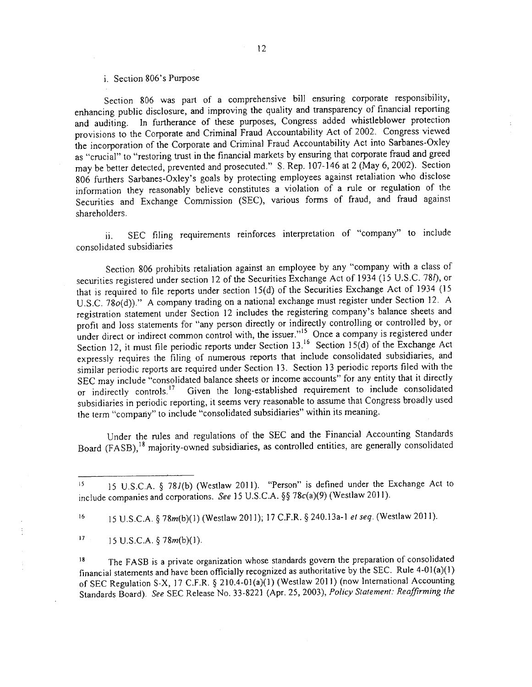# i. Section 806's Purpose

Section 806 was part of a comprehensive bill ensuring corporate responsibility, enhancing public disclosure, and improving the quality and transparency of financial reporting and auditing. In furtherance of these purposes, Congress added whistleblower protection provisions to the Corporate and Criminal Fraud Accountability Act of 2002. Congress viewed the incorporation of the Corporate and Criminal Fraud Accountability Act into Sarbanes-Oxley as "crucial" to "restoring trust in the financial markets by ensuring that corporate fraud and greed may be better detected, prevented and prosecuted." S. Rep. 107-146 at 2 (May 6, 2002). Section 806 furthers Sarbanes-Oxley's goals by protecting employees against retaliation who disclose information they reasonably believe constitutes a violation of a rule or regulation of the Securities and Exchange Commission (SEC), various forms of fraud, and fraud against shareholders.

ii. SEC filing requirements reinforces interpretation of "company" to include consolidated subsidiaries

Section 806 prohibits retaliation against an employee by any "company with a class of securities registered under section 12 of the Securities Exchange Act of 1934 (15 U.S.c. 78l), or that is required to file reports under section 15(d) of the Securities Exchange Act of 1934 (15 U.S.C. 78 $o(d)$ ." A company trading on a national exchange must register under Section 12. A registration statement under Section 12 includes the registering company's balance sheets and profit and loss statements for "any person directly or indirectly controlling or controlled by, or under direct or indirect common control with, the issuer." Unce a company is registered under Section 12, it must file periodic reports under Section 13.<sup>16</sup> Section 15(d) of the Exchange Act expressly requires the fiing of numerous reports that include consolidated subsidiaries, and similar periodic reports are required under Section 13. Section 13 periodic reports filed with the SEC may include "consolidated balance sheets or income accounts" for any entity that it directly or indirectly controls.<sup>17</sup> Given the long-established requirement to include consolidated subsidiaries in periodic reporting, it seems very reasonable to assume that Congress broadly used the term "company" to include "consolidated subsidiaries" within its meaning.

Under the rules and regulations of the SEC and the Financial Accounting Standards Board (FASB),<sup>18</sup> majority-owned subsidiaries, as controlled entities, are generally consolidated

16 15 U.S.C.A. § 78m(b)(1) (Westlaw 2011); 17 C.F.R. § 240.13a-1 et seq. (Westlaw 2011).

 $17 \t 15 \text{ U.S.C.A.} \S 78m(b)(1).$ 

The FASB is a private organization whose standards govern the preparation of consolidated financial statements and have been officially recognized as authoritative by the SEC. Rule  $4-01(a)(1)$ of SEC Regulation S-X, 17 C.F.R. § 210.4-01(a)(1) (Westlaw 2011) (now International Accounting Standards Board). See SEC Release No. 33-822 1 (Apr. 25, 2003), Policy Statement: Reaffrming the 18

<sup>15</sup> U.S.C.A. § 78J(b) (Westlaw 2011). "Person" is defined under the Exchange Act to include companies and corporations. See 15 U.S.C.A. §§ 78c(a)(9) (Westlaw 2011). IS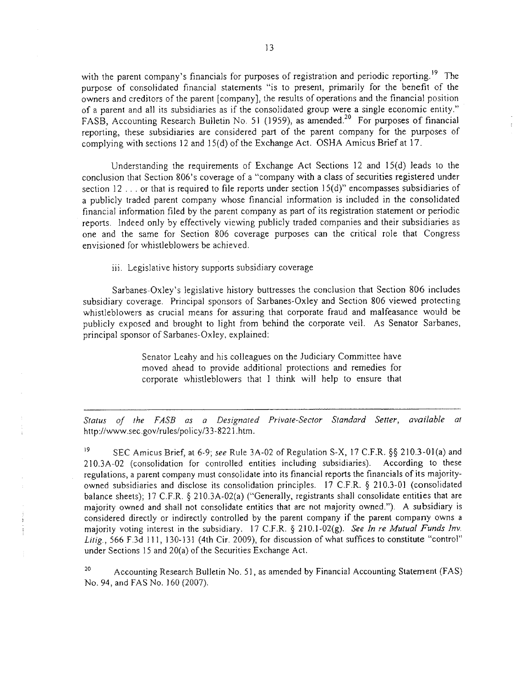with the parent company's financials for purposes of registration and periodic reporting.<sup>19</sup> The purpose of consolidated financial statements "is to present, primarily for the benefit of the owners and creditors of the parent [company], the results of operations and the financial position of a parent and all its subsidiaries as if the consolidated group were a single economic entity." FASB, Accounting Research Bulletin No. 51 (1959), as amended.<sup>20</sup> For purposes of financial reporting, these subsidiaries are considered part of the parent company for the purposes of complying with sections 12 and 15(d) of the Exchange Act. OSHA Amicus Brief at 17.

Understanding the requirements of Exchange Act Sections 12 and 15(d) leads to the conclusion that Section 806's coverage of a "company with a class of securities registered under section 12 . . . or that is required to file reports under section 15(d)" encompasses subsidiaries of a publicly traded parent company whose financial infonnation is included in the consolidated financial information filed by the parent company as part of its registration statement or periodic reports. Indeed only by effectively viewing publicly traded companies and their subsidiaries as one and the same for Section 806 coverage purposes can the critical role that Congress envisioned for whistleblowers be achieved.

iii. Legislative history supports subsidiary coverage

Sarbanes-Oxley's legislative history buttresses the conclusion that Section 806 includes subsidiary coverage. Principal sponsors of Sarbanes-Oxley and Section 806 viewed protecting whistleblowers as crucial means for assuring that corporate fraud and malfeasance would be publicly exposed and brought to light from behind the corporate veil. As Senator Sarbanes, principal sponsor of Sarbanes-Oxley, explained:

> Senator Leahy and his colleagues on the Judiciary Committee have moved ahead to provide additional protections and remedies for corporate whistlebJowers that I think will help to ensure that

Stalus of the FASB as a Designated Private-Secior Slandard Setter, available at http://www.sec.govlrules/policy/33-8221.htm.

19 SEC Amicus Brief, at 6-9; see Rule 3A-02 of Regulation S-X, 17 C.F.R. §§ 210.3-01(a) and 210.3A-02 (consolidation for controlled entities including subsidiaries). According to these regulations, a parent company must consolidate into its financial reports the financia1s of its majorityowned subsidiaries and disclose its consolidation principles. 17 C.F.R. § 210.3-01 (consolidated balance sheets); 17 C.F.R. § 210.3A-02(a) ("Generally, registrants shall consolidate entities that are majority owned and shall not consolidate entities that are not majority owned."). A subsidiary is considered directly or indirectly controlled by the parent company if the parent company owns a majority voting interest in the subsidiary. 17 C.F.R.  $\S$  210.1-02(g). See In re Mutual Funds Inv. Litig., 566 F.3d 111, 130-131 (4th Cir. 2009), for discussion of what suffices to constitute "control" under Sections 15 and 20(a) of the Securities Exchange Act.

Accounting Research Bulletin No. 51, as amended by Financial Accounting Statement (FAS) No. 94, and FAS No. 160 (2007). 20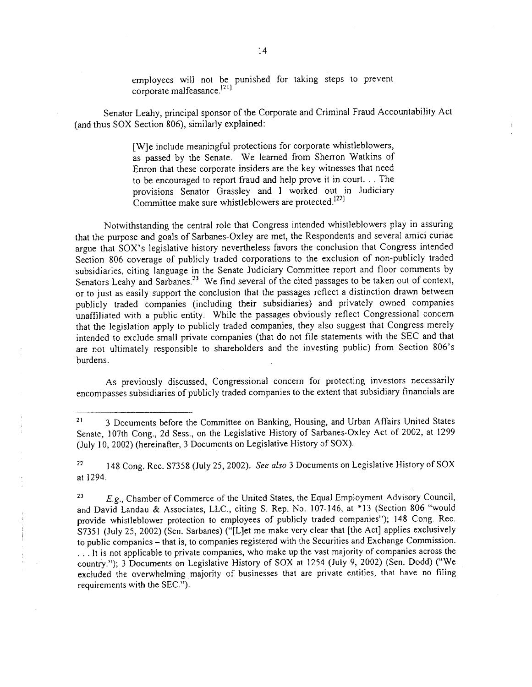employees will not be punished for taking steps to prevent corporate malfeasance.<sup>[21]</sup>

Senator Leahy, principal sponsor of the Corporate and Criminal Fraud Accountability Act (and thus SOX Section 806), similarly explained:

> (WJe include meaningful protections for corporate whistleblowers, as passed by the Senate. We leared from Sherron Watkins of Enron that these corporate insiders are the key witnesses that need to be encouraged to report fraud and help prove it in court. . . The provisions Senator Grassley and I worked out in Judiciary Committee make sure whistleblowers are protected.<sup>[22]</sup>

Notwithstanding the central role that Congress intended whistleblowers play in assuring that the purpose and goals of Sarbanes-Oxley are met, the Respondents and several amici curiae argue that SOX's legislative history nevertheless favors the conclusion that Congress intended Section 806 coverage of publicly traded corporations to the exclusion of non-publicly traded subsidiaries, citing language in the Senate Judiciary Committee report and floor comments by Senators Leahy and Sarbanes.<sup>23</sup> We find several of the cited passages to be taken out of context, or to just as easily support the conclusion that the passages reflect a distinction drawn between publicly traded companies (including their subsidiaries) and privately owned companies unaffiliated with a public entity. While the passages obviously reflect Congressional concern that the legislation apply to publicly traded companies, they also suggest that Congress merely intended to exclude small private companies (that do not file statements with the SEC and that are not ultimately responsible to shareholders and the investing public) from Section 806's burdens.

As previously discussed, Congressional concern for protecting investors necessarily encompasses subsidiaries of publicly traded companies to the extent that subsidiary financials are

<sup>22</sup> 148 Cong. Rec. S7358 (July 25, 2002). See also 3 Documents on Legislative History of SOX at 1294.

E.g., Chamber of Commerce of the United States, the Equal Employment Advisory Council, and David Landau & Associates, LLC., citing S. Rep. No. 107-146, at \*13 (Section 806 "would provide whistleblower protection to employees of publicly traded companies"); 148 Cong. Rec. S7351 (July 25, 2002) (Sen. Sarbanes) ("[L]et me make very clear that [the Act] applies exclusively to public companies - that is, to companies registered with the Securities and Exchange Commission. . . . It is not applicable to private companies, who make up the vast majority of companies across the country."); 3 Documents on Legislative History of SOX at 1254 (July 9, 2002) (Sen. Dodd) ("We excluded the overwhelming majority of businesses that are private entities, that have no filing requirements with the SEC."). 23

 $\frac{1}{2}$  . The second components of  $\frac{1}{2}$ 

<sup>&</sup>lt;sup>21</sup> 3 Documents before the Committee on Banking, Housing, and Urban Affairs United States Senate, l07th Cong., 2d Sess., on the Legislative History of Sarbanes-Oxley Act of 2002, at 1299 (July 10, 2002) (hereinafter, 3 Documents on Legislative History of SOX).